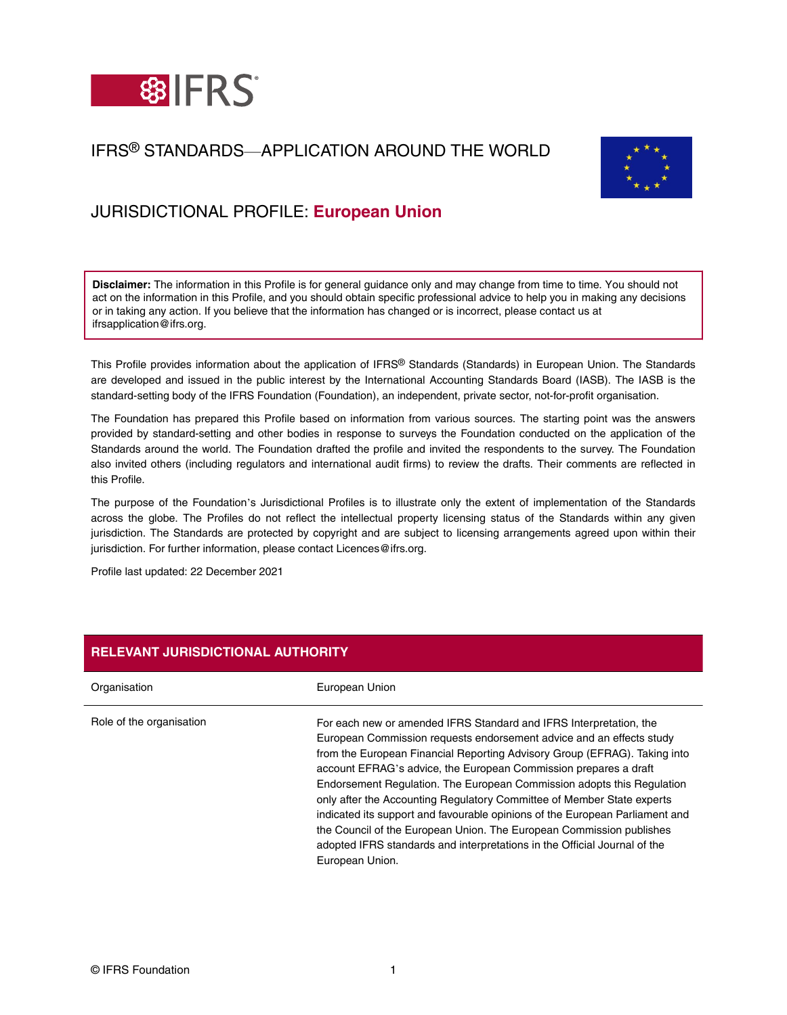

## IFRS® STANDARDS—APPLICATION AROUND THE WORLD



# JURISDICTIONAL PROFILE: **European Union**

**Disclaimer:** The information in this Profile is for general guidance only and may change from time to time. You should not act on the information in this Profile, and you should obtain specific professional advice to help you in making any decisions or in taking any action. If you believe that the information has changed or is incorrect, please contact us at ifrsapplication@ifrs.org.

This Profile provides information about the application of IFRS® Standards (Standards) in European Union. The Standards are developed and issued in the public interest by the International Accounting Standards Board (IASB). The IASB is the standard-setting body of the IFRS Foundation (Foundation), an independent, private sector, not-for-profit organisation.

The Foundation has prepared this Profile based on information from various sources. The starting point was the answers provided by standard-setting and other bodies in response to surveys the Foundation conducted on the application of the Standards around the world. The Foundation drafted the profile and invited the respondents to the survey. The Foundation also invited others (including regulators and international audit firms) to review the drafts. Their comments are reflected in this Profile.

The purpose of the Foundation's Jurisdictional Profiles is to illustrate only the extent of implementation of the Standards across the globe. The Profiles do not reflect the intellectual property licensing status of the Standards within any given jurisdiction. The Standards are protected by copyright and are subject to licensing arrangements agreed upon within their jurisdiction. For further information, please contact Licences@ifrs.org.

Profile last updated: 22 December 2021

| <b>RELEVANT JURISDICTIONAL AUTHORITY</b> |                                                                                                                                                                                                                                                                                                                                                                                                                                                                                                                                                                                                                                                                                                         |
|------------------------------------------|---------------------------------------------------------------------------------------------------------------------------------------------------------------------------------------------------------------------------------------------------------------------------------------------------------------------------------------------------------------------------------------------------------------------------------------------------------------------------------------------------------------------------------------------------------------------------------------------------------------------------------------------------------------------------------------------------------|
| Organisation                             | European Union                                                                                                                                                                                                                                                                                                                                                                                                                                                                                                                                                                                                                                                                                          |
| Role of the organisation                 | For each new or amended IFRS Standard and IFRS Interpretation, the<br>European Commission requests endorsement advice and an effects study<br>from the European Financial Reporting Advisory Group (EFRAG). Taking into<br>account EFRAG's advice, the European Commission prepares a draft<br>Endorsement Regulation. The European Commission adopts this Regulation<br>only after the Accounting Regulatory Committee of Member State experts<br>indicated its support and favourable opinions of the European Parliament and<br>the Council of the European Union. The European Commission publishes<br>adopted IFRS standards and interpretations in the Official Journal of the<br>European Union. |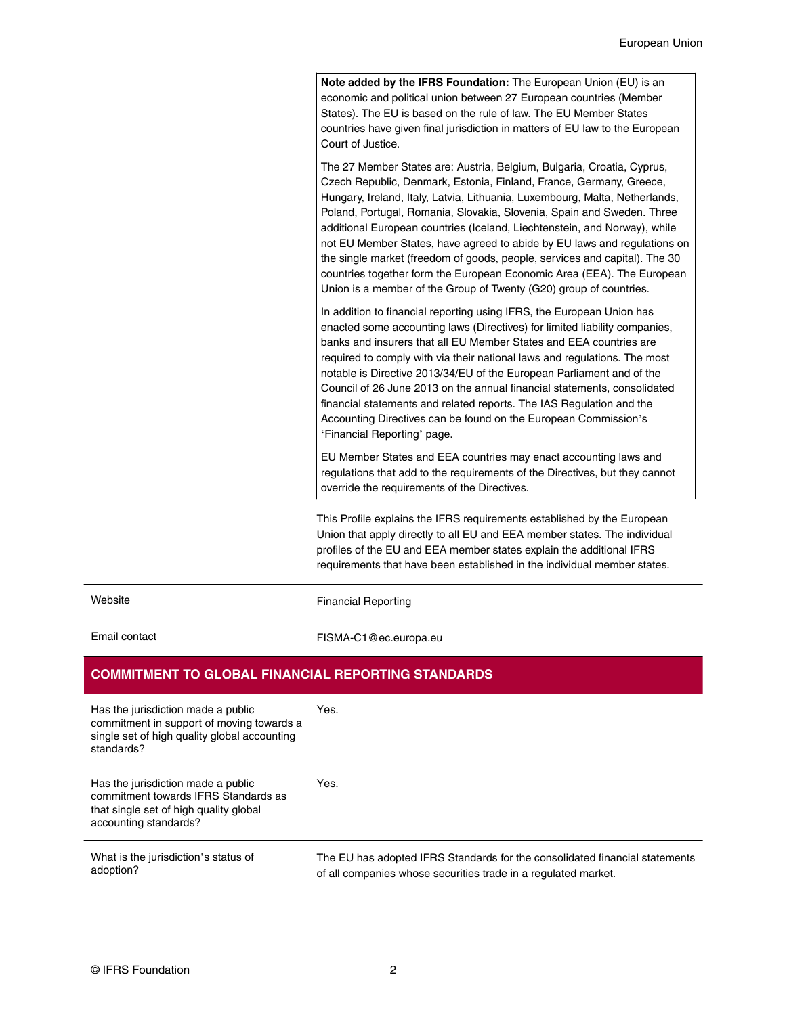**Note added by the IFRS Foundation:** The European Union (EU) is an economic and political union between 27 European countries (Member States). The EU is based on the rule of law. The EU Member States countries have given final jurisdiction in matters of EU law to the European Court of Justice.

The 27 Member States are: Austria, Belgium, Bulgaria, Croatia, Cyprus, Czech Republic, Denmark, Estonia, Finland, France, Germany, Greece, Hungary, Ireland, Italy, Latvia, Lithuania, Luxembourg, Malta, Netherlands, Poland, Portugal, Romania, Slovakia, Slovenia, Spain and Sweden. Three additional European countries (Iceland, Liechtenstein, and Norway), while not EU Member States, have agreed to abide by EU laws and regulations on the single market (freedom of goods, people, services and capital). The 30 countries together form the European Economic Area (EEA). The European Union is a member of the Group of Twenty (G20) group of countries.

In addition to financial reporting using IFRS, the European Union has enacted some accounting laws (Directives) for limited liability companies, banks and insurers that all EU Member States and EEA countries are required to comply with via their national laws and regulations. The most notable is Directive 2013/34/EU of the European Parliament and of the Council of 26 June 2013 on the annual financial statements, consolidated financial statements and related reports. The IAS Regulation and the Accounting Directives can be found on the European Commission's '[Financial Reporting](https://ec.europa.eu/info/business-economy-euro/company-reporting-and-auditing/company-reporting/financial-reporting_en)' page.

EU Member States and EEA countries may enact accounting laws and regulations that add to the requirements of the Directives, but they cannot override the requirements of the Directives.

This Profile explains the IFRS requirements established by the European Union that apply directly to all EU and EEA member states. The individual profiles of the EU and EEA member states explain the additional IFRS requirements that have been established in the individual member states.

| Website                                                                                                                                       | <b>Financial Reporting</b>                                                  |
|-----------------------------------------------------------------------------------------------------------------------------------------------|-----------------------------------------------------------------------------|
| Email contact                                                                                                                                 | FISMA-C1@ec.europa.eu                                                       |
| <b>COMMITMENT TO GLOBAL FINANCIAL REPORTING STANDARDS</b>                                                                                     |                                                                             |
| Has the jurisdiction made a public<br>commitment in support of moving towards a<br>single set of high quality global accounting<br>standards? | Yes.                                                                        |
| Has the jurisdiction made a public<br>commitment towards IFRS Standards as<br>that single set of high quality global<br>accounting standards? | Yes.                                                                        |
| What is the jurisdiction's status of                                                                                                          | The EU has adopted IFRS Standards for the consolidated financial statements |

adoption?

of all companies whose securities trade in a [regulated market](https://registers.esma.europa.eu/publication/searchRegister?core=esma_registers_upreg).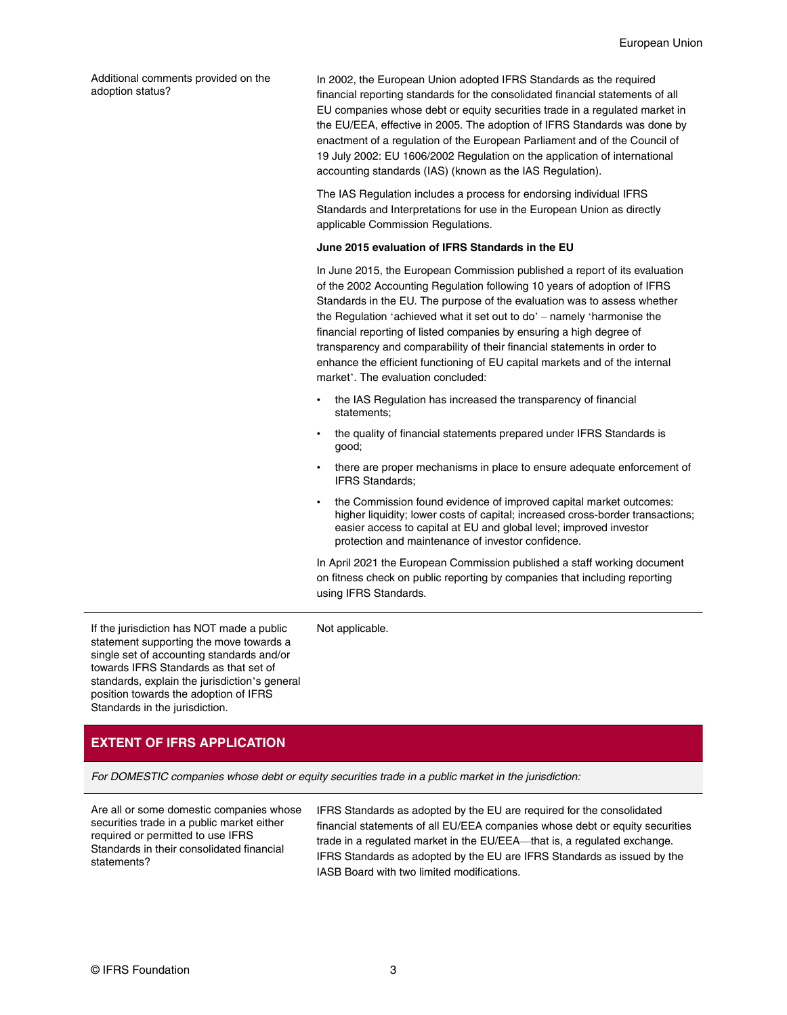Additional comments provided on the adoption status?

In 2002, the European Union adopted IFRS Standards as the required financial reporting standards for the consolidated financial statements of all EU companies whose debt or equity securities trade in a regulated market in the EU/EEA, effective in 2005. The adoption of IFRS Standards was done by enactment of a regulation of the European Parliament and of the Council of 19 July 2002: [EU 1606/2002 Regulation on the application of international](https://eur-lex.europa.eu/legal-content/EN/TXT/?uri=CELEX:32002R1606) [accounting standards \(IAS\)](https://eur-lex.europa.eu/legal-content/EN/TXT/?uri=CELEX:32002R1606) (known as the IAS Regulation).

The IAS Regulation includes a process for endorsing individual IFRS Standards and Interpretations for use in the European Union as directly applicable Commission Regulations.

#### **June 2015 evaluation of IFRS Standards in the EU**

In June 2015, the European Commission published [a report of its evaluation](https://eur-lex.europa.eu/legal-content/EN/TXT/PDF/?uri=CELEX:52015DC0301&from=EL) [of the 2002 Accounting Regulation](https://eur-lex.europa.eu/legal-content/EN/TXT/PDF/?uri=CELEX:52015DC0301&from=EL) following 10 years of adoption of IFRS Standards in the EU. The purpose of the evaluation was to assess whether the Regulation 'achieved what it set out to do' – namely 'harmonise the financial reporting of listed companies by ensuring a high degree of transparency and comparability of their financial statements in order to enhance the efficient functioning of EU capital markets and of the internal market'. The evaluation concluded:

- the IAS Regulation has increased the transparency of financial statements;
- the quality of financial statements prepared under IFRS Standards is good;
- there are proper mechanisms in place to ensure adequate enforcement of IFRS Standards;
- the Commission found evidence of improved capital market outcomes: higher liquidity; lower costs of capital; increased cross-border transactions; easier access to capital at EU and global level; improved investor protection and maintenance of investor confidence.

In April 2021 the European Commission published a staff working document on [fitness check](https://eur-lex.europa.eu/legal-content/EN/TXT/PDF/?uri=CELEX:52021SC0081&from=EN) on public reporting by companies that including reporting using IFRS Standards.

If the jurisdiction has NOT made a public statement supporting the move towards a single set of accounting standards and/or towards IFRS Standards as that set of standards, explain the jurisdiction's general position towards the adoption of IFRS Standards in the jurisdiction.

Not applicable.

### **EXTENT OF IFRS APPLICATION**

For DOMESTIC companies whose debt or equity securities trade in a public market in the jurisdiction:

Are all or some domestic companies whose securities trade in a public market either required or permitted to use IFRS Standards in their consolidated financial statements?

IFRS Standards as adopted by the EU are required for the consolidated financial statements of all EU/EEA companies whose debt or equity securities trade in a regulated market in the EU/EEA—that is, a regulated exchange. IFRS Standards as adopted by the EU are IFRS Standards as issued by the IASB Board with two limited [modifications.](#page-5-0)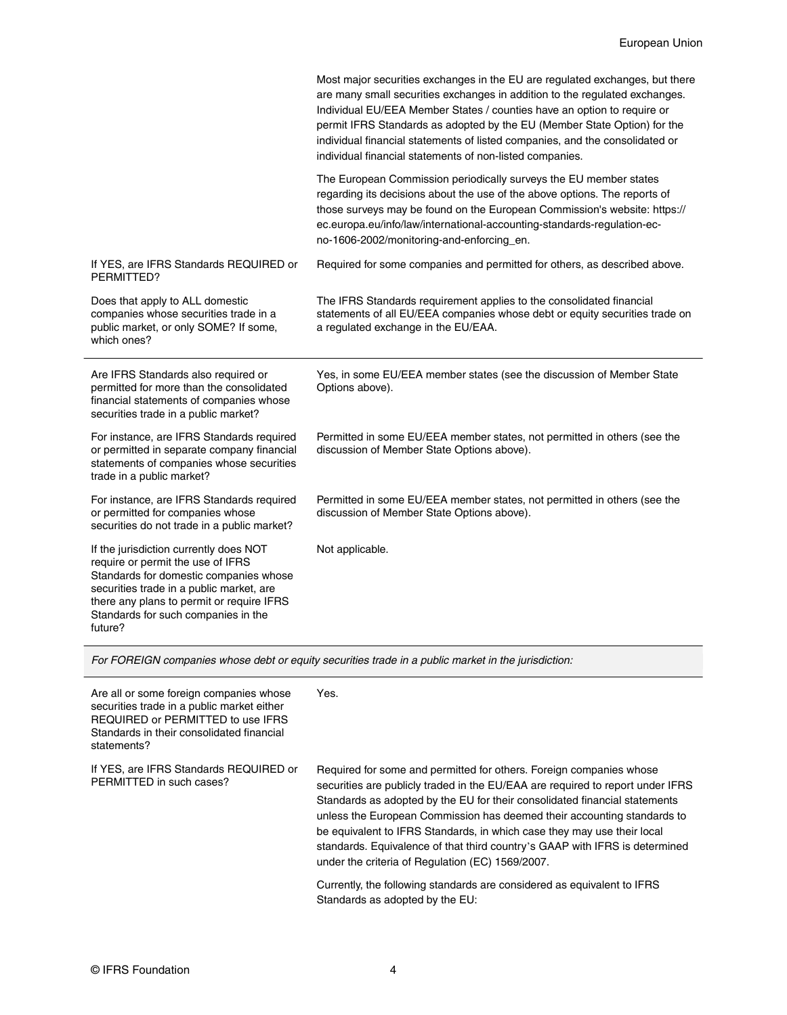|                                                                                                                                                                                                                                                                  | Most major securities exchanges in the EU are regulated exchanges, but there<br>are many small securities exchanges in addition to the regulated exchanges.<br>Individual EU/EEA Member States / counties have an option to require or<br>permit IFRS Standards as adopted by the EU (Member State Option) for the<br>individual financial statements of listed companies, and the consolidated or<br>individual financial statements of non-listed companies. |
|------------------------------------------------------------------------------------------------------------------------------------------------------------------------------------------------------------------------------------------------------------------|----------------------------------------------------------------------------------------------------------------------------------------------------------------------------------------------------------------------------------------------------------------------------------------------------------------------------------------------------------------------------------------------------------------------------------------------------------------|
|                                                                                                                                                                                                                                                                  | The European Commission periodically surveys the EU member states<br>regarding its decisions about the use of the above options. The reports of<br>those surveys may be found on the European Commission's website: https://<br>ec.europa.eu/info/law/international-accounting-standards-regulation-ec-<br>no-1606-2002/monitoring-and-enforcing_en.                                                                                                           |
| If YES, are IFRS Standards REQUIRED or<br>PERMITTED?                                                                                                                                                                                                             | Required for some companies and permitted for others, as described above.                                                                                                                                                                                                                                                                                                                                                                                      |
| Does that apply to ALL domestic<br>companies whose securities trade in a<br>public market, or only SOME? If some,<br>which ones?                                                                                                                                 | The IFRS Standards requirement applies to the consolidated financial<br>statements of all EU/EEA companies whose debt or equity securities trade on<br>a regulated exchange in the EU/EAA.                                                                                                                                                                                                                                                                     |
| Are IFRS Standards also required or<br>permitted for more than the consolidated<br>financial statements of companies whose<br>securities trade in a public market?                                                                                               | Yes, in some EU/EEA member states (see the discussion of Member State<br>Options above).                                                                                                                                                                                                                                                                                                                                                                       |
| For instance, are IFRS Standards required<br>or permitted in separate company financial<br>statements of companies whose securities<br>trade in a public market?                                                                                                 | Permitted in some EU/EEA member states, not permitted in others (see the<br>discussion of Member State Options above).                                                                                                                                                                                                                                                                                                                                         |
| For instance, are IFRS Standards required<br>or permitted for companies whose<br>securities do not trade in a public market?                                                                                                                                     | Permitted in some EU/EEA member states, not permitted in others (see the<br>discussion of Member State Options above).                                                                                                                                                                                                                                                                                                                                         |
| If the jurisdiction currently does NOT<br>require or permit the use of IFRS<br>Standards for domestic companies whose<br>securities trade in a public market, are<br>there any plans to permit or require IFRS<br>Standards for such companies in the<br>future? | Not applicable.                                                                                                                                                                                                                                                                                                                                                                                                                                                |
| For FOREIGN companies whose debt or equity securities trade in a public market in the jurisdiction:                                                                                                                                                              |                                                                                                                                                                                                                                                                                                                                                                                                                                                                |

| Are all or some foreign companies whose<br>securities trade in a public market either<br>REQUIRED or PERMITTED to use IFRS<br>Standards in their consolidated financial<br>statements? | Yes.                                                                                                                                                                                                                                                                                                                                                                                                                                                                                                                         |
|----------------------------------------------------------------------------------------------------------------------------------------------------------------------------------------|------------------------------------------------------------------------------------------------------------------------------------------------------------------------------------------------------------------------------------------------------------------------------------------------------------------------------------------------------------------------------------------------------------------------------------------------------------------------------------------------------------------------------|
| If YES, are IFRS Standards REQUIRED or<br>PERMITTED in such cases?                                                                                                                     | Required for some and permitted for others. Foreign companies whose<br>securities are publicly traded in the EU/EAA are required to report under IFRS<br>Standards as adopted by the EU for their consolidated financial statements<br>unless the European Commission has deemed their accounting standards to<br>be equivalent to IFRS Standards, in which case they may use their local<br>standards. Equivalence of that third country's GAAP with IFRS is determined<br>under the criteria of Regulation (EC) 1569/2007. |
|                                                                                                                                                                                        | Currently, the following standards are considered as equivalent to IFRS<br>Standards as adopted by the EU:                                                                                                                                                                                                                                                                                                                                                                                                                   |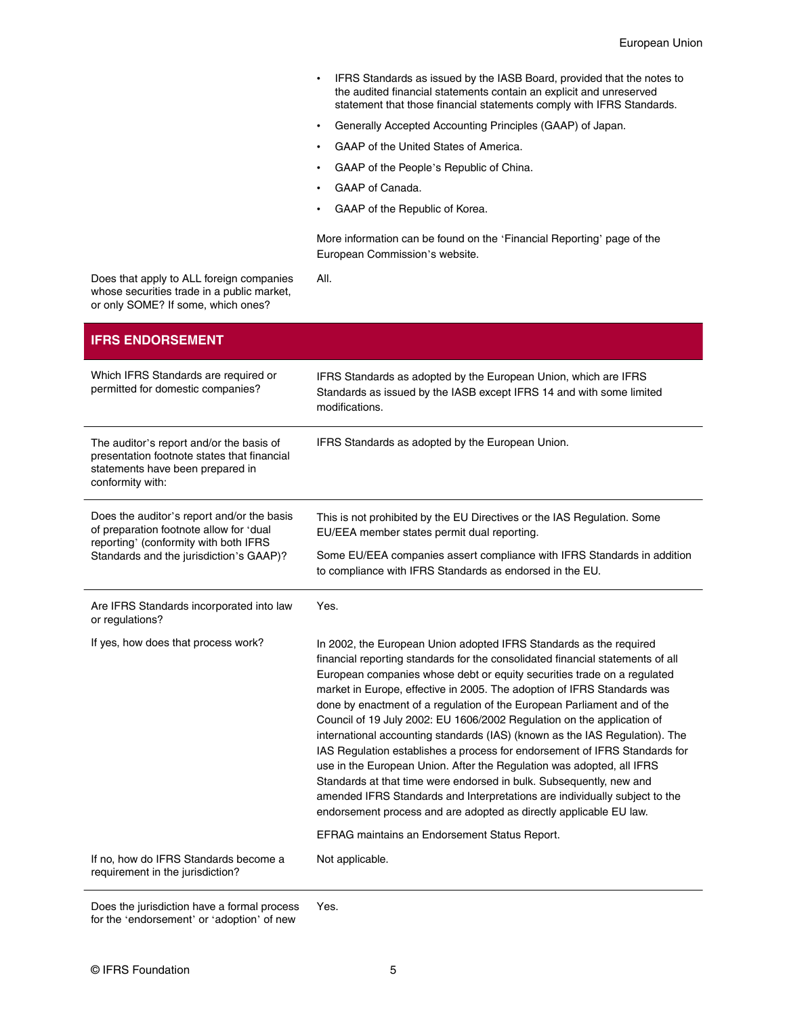- IFRS Standards as issued by the IASB Board, provided that the notes to the audited financial statements contain an explicit and unreserved statement that those financial statements comply with IFRS Standards.
- Generally Accepted Accounting Principles (GAAP) of Japan.
- GAAP of the United States of America.
- GAAP of the People's Republic of China.
- GAAP of Canada.

All.

• GAAP of the Republic of Korea.

More information can be found on the '[Financial Reporting](https://ec.europa.eu/info/business-economy-euro/company-reporting-and-auditing/company-reporting/financial-reporting_en)' page of the European Commission's website.

Does that apply to ALL foreign companies whose securities trade in a public market, or only SOME? If some, which ones?

| <b>IFRS ENDORSEMENT</b>                                                                                                                                                   |                                                                                                                                                                                                                                                                                                                                                                                                                                                                                                                                                                                                                                                                                                                                                                                                                                                                                                                                  |
|---------------------------------------------------------------------------------------------------------------------------------------------------------------------------|----------------------------------------------------------------------------------------------------------------------------------------------------------------------------------------------------------------------------------------------------------------------------------------------------------------------------------------------------------------------------------------------------------------------------------------------------------------------------------------------------------------------------------------------------------------------------------------------------------------------------------------------------------------------------------------------------------------------------------------------------------------------------------------------------------------------------------------------------------------------------------------------------------------------------------|
| Which IFRS Standards are required or<br>permitted for domestic companies?                                                                                                 | IFRS Standards as adopted by the European Union, which are IFRS<br>Standards as issued by the IASB except IFRS 14 and with some limited<br>modifications.                                                                                                                                                                                                                                                                                                                                                                                                                                                                                                                                                                                                                                                                                                                                                                        |
| The auditor's report and/or the basis of<br>presentation footnote states that financial<br>statements have been prepared in<br>conformity with:                           | IFRS Standards as adopted by the European Union.                                                                                                                                                                                                                                                                                                                                                                                                                                                                                                                                                                                                                                                                                                                                                                                                                                                                                 |
| Does the auditor's report and/or the basis<br>of preparation footnote allow for 'dual<br>reporting' (conformity with both IFRS<br>Standards and the jurisdiction's GAAP)? | This is not prohibited by the EU Directives or the IAS Regulation. Some<br>EU/EEA member states permit dual reporting.                                                                                                                                                                                                                                                                                                                                                                                                                                                                                                                                                                                                                                                                                                                                                                                                           |
|                                                                                                                                                                           | Some EU/EEA companies assert compliance with IFRS Standards in addition<br>to compliance with IFRS Standards as endorsed in the EU.                                                                                                                                                                                                                                                                                                                                                                                                                                                                                                                                                                                                                                                                                                                                                                                              |
| Are IFRS Standards incorporated into law<br>or regulations?                                                                                                               | Yes.                                                                                                                                                                                                                                                                                                                                                                                                                                                                                                                                                                                                                                                                                                                                                                                                                                                                                                                             |
| If yes, how does that process work?                                                                                                                                       | In 2002, the European Union adopted IFRS Standards as the required<br>financial reporting standards for the consolidated financial statements of all<br>European companies whose debt or equity securities trade on a regulated<br>market in Europe, effective in 2005. The adoption of IFRS Standards was<br>done by enactment of a regulation of the European Parliament and of the<br>Council of 19 July 2002: EU 1606/2002 Regulation on the application of<br>international accounting standards (IAS) (known as the IAS Regulation). The<br>IAS Regulation establishes a process for endorsement of IFRS Standards for<br>use in the European Union. After the Regulation was adopted, all IFRS<br>Standards at that time were endorsed in bulk. Subsequently, new and<br>amended IFRS Standards and Interpretations are individually subject to the<br>endorsement process and are adopted as directly applicable EU law. |
|                                                                                                                                                                           | EFRAG maintains an Endorsement Status Report.                                                                                                                                                                                                                                                                                                                                                                                                                                                                                                                                                                                                                                                                                                                                                                                                                                                                                    |
| If no, how do IFRS Standards become a<br>requirement in the jurisdiction?                                                                                                 | Not applicable.                                                                                                                                                                                                                                                                                                                                                                                                                                                                                                                                                                                                                                                                                                                                                                                                                                                                                                                  |

Does the jurisdiction have a formal process for the 'endorsement' or 'adoption' of new

Yes.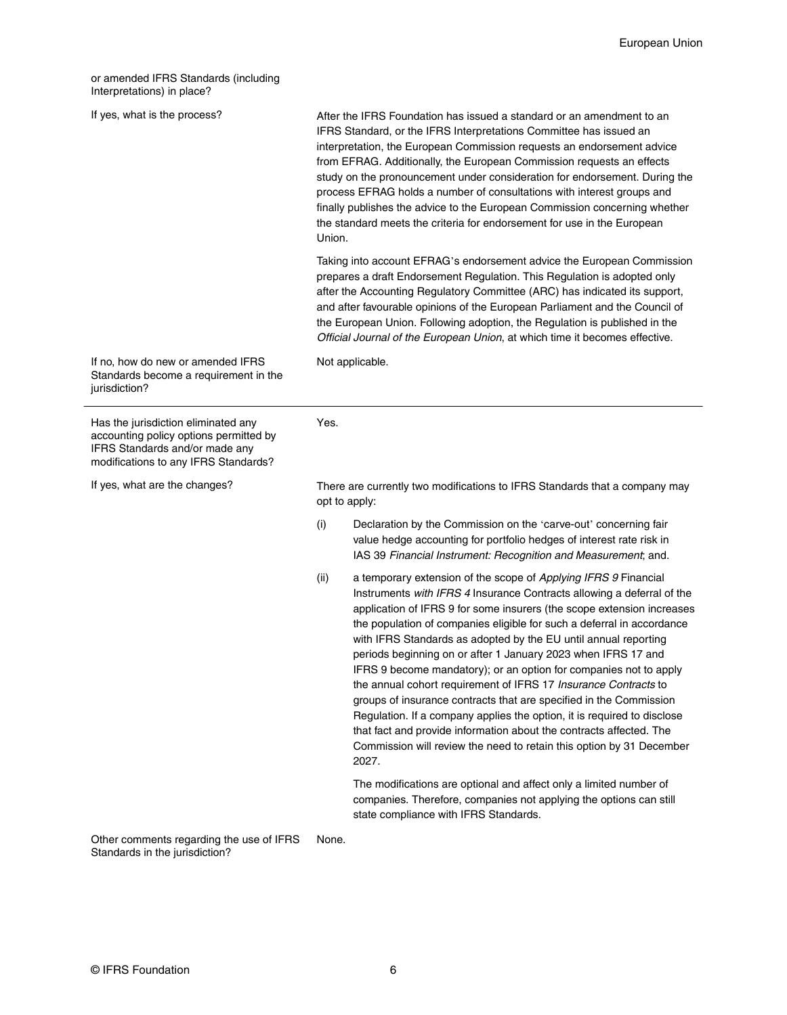<span id="page-5-0"></span>or amended IFRS Standards (including Interpretations) in place?

| If yes, what is the process? |  |
|------------------------------|--|
|------------------------------|--|

If yrocess? After the IFRS Foundation has issued a standard or an amendment to an IFRS Standard, or the IFRS Interpretations Committee has issued an interpretation, the European Commission requests an endorsement advice from EFRAG. Additionally, the European Commission requests an effects study on the pronouncement under consideration for endorsement. During the process EFRAG holds a number of consultations with interest groups and finally publishes the advice to the European Commission concerning whether the standard meets the criteria for endorsement for use in the European Union.

> Taking into account EFRAG's endorsement advice the European Commission prepares a draft Endorsement Regulation. This Regulation is adopted only after the Accounting Regulatory Committee (ARC) has indicated its support, and after favourable opinions of the European Parliament and the Council of the European Union. Following adoption, the Regulation is published in the Official Journal of the European Union, at which time it becomes effective.

If no, how do new or amended IFRS Standards become a requirement in the jurisdiction?

Has the jurisdiction eliminated any accounting policy options permitted by IFRS Standards and/or made any modifications to any IFRS Standards?

Yes.

Not applicable.

If yes, what are the changes? There are currently two modifications to IFRS Standards that a company may opt to apply:

- (i) [Declaration](http://ec.europa.eu/transparency/regdoc/rep/3/2004/EN/C-2004-4422-1-EN-MAIN-PART-2.PDF) by the Commission on the '[carve-out](http://ec.europa.eu/transparency/regdoc/rep/1/2008/EN/1-2008-215-EN-F1-1.Pdf)' concerning fair value hedge accounting for portfolio hedges of interest rate risk in IAS 39 Financial Instrument: Recognition and Measurement; and.
- (ii) a temporary extension of the scope of Applying IFRS 9 Financial Instruments with IFRS 4 Insurance Contracts allowing a deferral of the application of IFRS 9 for some insurers (the scope extension increases the population of companies eligible for such a deferral in accordance with IFRS Standards as adopted by the EU until [annual reporting](http://eur-lex.europa.eu/legal-content/EN/TXT/?qid=1511963979622&uri=CELEX:32017R1988) [periods beginning on or after 1 January 2023 when IFRS 17 and](http://eur-lex.europa.eu/legal-content/EN/TXT/?qid=1511963979622&uri=CELEX:32017R1988) [IFRS 9 become mandatory\)](http://eur-lex.europa.eu/legal-content/EN/TXT/?qid=1511963979622&uri=CELEX:32017R1988); or an option for companies not to apply the annual cohort requirement of IFRS 17 Insurance Contracts to groups of insurance contracts that are specified in the Commission Regulation. If a company applies the option, it is required to disclose that fact and provide information about the contracts affected. The Commission will review the need to retain this option by 31 December 2027.

The modifications are optional and affect only a limited number of companies. Therefore, companies not applying the options can still state compliance with IFRS Standards.

Other comments regarding the use of IFRS Standards in the jurisdiction? None.